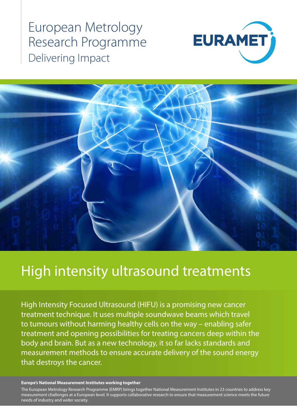European Metrology Research Programme Delivering Impact





# High intensity ultrasound treatments

High Intensity Focused Ultrasound (HIFU) is a promising new cancer treatment technique. It uses multiple soundwave beams which travel to tumours without harming healthy cells on the way – enabling safer treatment and opening possibilities for treating cancers deep within the body and brain. But as a new technology, it so far lacks standards and measurement methods to ensure accurate delivery of the sound energy that destroys the cancer.

### **Europe's National Measurement Institutes working together**

The European Metrology Research Programme (EMRP) brings together National Measurement Institutes in 23 countries to address key measurement challenges at a European level. It supports collaborative research to ensure that measurement science meets the future needs of industry and wider society.